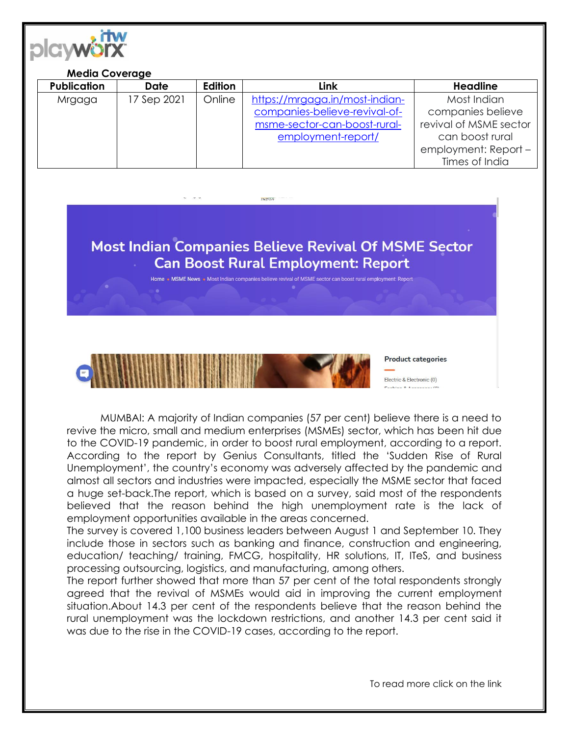

## **Media Coverage**

| <b>Publication</b> | <b>Date</b> | <b>Edition</b> | Link                           | <b>Headline</b>        |
|--------------------|-------------|----------------|--------------------------------|------------------------|
| Mrgaga             | 17 Sep 2021 | Online         | https://mrgaga.in/most-indian- | Most Indian            |
|                    |             |                | companies-believe-revival-of-  | companies believe      |
|                    |             |                | msme-sector-can-boost-rural-   | revival of MSME sector |
|                    |             |                | employment-report/             | can boost rural        |
|                    |             |                |                                | employment: Report -   |
|                    |             |                |                                | Times of India         |



Home **•** MSME News • Most Indian companies believe revival of MSME sector can boost rural employment: Report



MUMBAI: A majority of Indian companies (57 per cent) believe there is a need to revive the micro, small and medium enterprises (MSMEs) sector, which has been hit due to the COVID-19 pandemic, in order to boost rural employment, according to a report. According to the report by Genius Consultants, titled the 'Sudden Rise of Rural Unemployment', the country's economy was adversely affected by the pandemic and almost all sectors and industries were impacted, especially the MSME sector that faced a huge set-back.The report, which is based on a survey, said most of the respondents believed that the reason behind the high unemployment rate is the lack of employment opportunities available in the areas concerned.

The survey is covered 1,100 business leaders between August 1 and September 10. They include those in sectors such as banking and finance, construction and engineering, education/ teaching/ training, FMCG, hospitality, HR solutions, IT, ITeS, and business processing outsourcing, logistics, and manufacturing, among others.

The report further showed that more than 57 per cent of the total respondents strongly agreed that the revival of MSMEs would aid in improving the current employment situation.About 14.3 per cent of the respondents believe that the reason behind the rural unemployment was the lockdown restrictions, and another 14.3 per cent said it was due to the rise in the COVID-19 cases, according to the report.

To read more click on the link